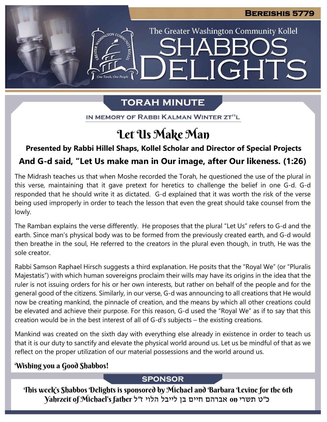The Greater Washington Community Kollel

LIGHTS

## **TORAH MINUTE**

EI

IN MEMORY OF RABBI KALMAN WINTER ZT"L

## Let Us Make Man

### **Presented by Rabbi Hillel Shaps, Kollel Scholar and Director of Special Projects**

### **And G-d said, "Let Us make man in Our image, after Our likeness. (1:26)**

The Midrash teaches us that when Moshe recorded the Torah, he questioned the use of the plural in this verse, maintaining that it gave pretext for heretics to challenge the belief in one G-d. G-d responded that he should write it as dictated. G-d explained that it was worth the risk of the verse being used improperly in order to teach the lesson that even the great should take counsel from the lowly.

The Ramban explains the verse differently. He proposes that the plural "Let Us" refers to G-d and the earth. Since man's physical body was to be formed from the previously created earth, and G-d would then breathe in the soul, He referred to the creators in the plural even though, in truth, He was the sole creator.

Rabbi Samson Raphael Hirsch suggests a third explanation. He posits that the "Royal We" (or "Pluralis Majestatis") with which human sovereigns proclaim their wills may have its origins in the idea that the ruler is not issuing orders for his or her own interests, but rather on behalf of the people and for the general good of the citizens. Similarly, in our verse, G-d was announcing to all creations that He would now be creating mankind, the pinnacle of creation, and the means by which all other creations could be elevated and achieve their purpose. For this reason, G-d used the "Royal We" as if to say that this creation would be in the best interest of all of G-d's subjects – the existing creations.

Mankind was created on the sixth day with everything else already in existence in order to teach us that it is our duty to sanctify and elevate the physical world around us. Let us be mindful of that as we reflect on the proper utilization of our material possessions and the world around us.

### Wishing you a Good Shabbos!

#### **SPONSOR**

This week's Shabbos Delights is sponsored by Michael and Barbara Levine for the 6th כ"ט תשרי on אברהם חיים בן לייבל הלוי ז"ל father s'Michael of Yahrzeit